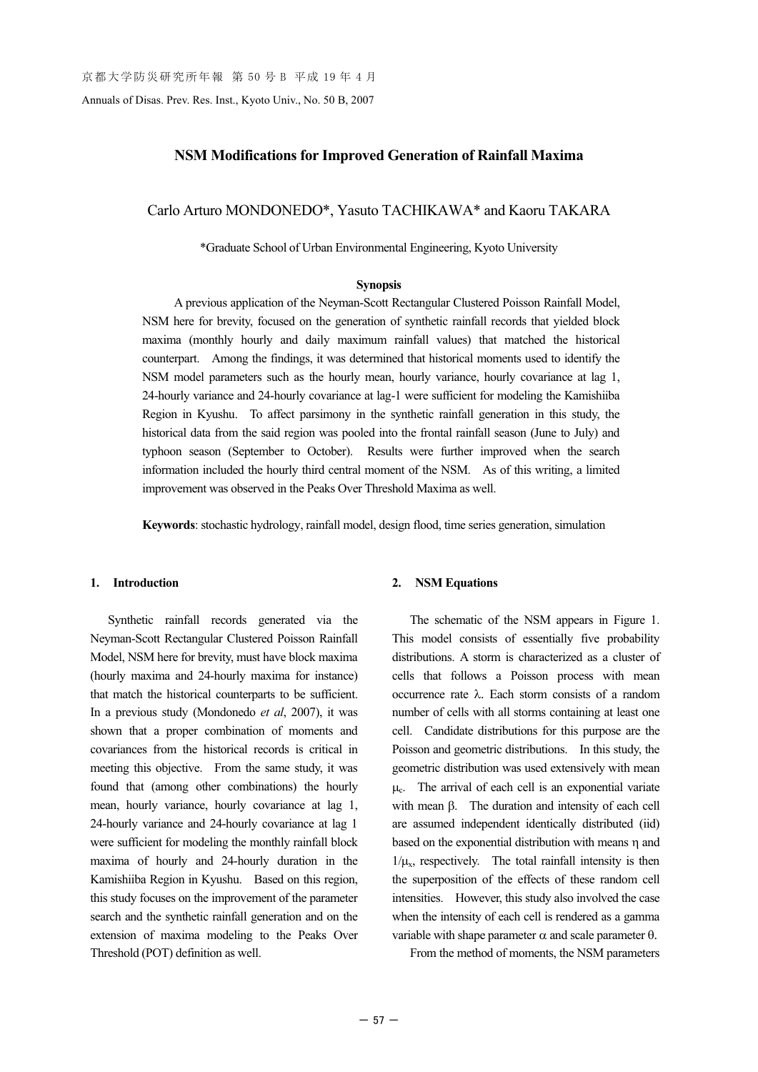Annuals of Disas. Prev. Res. Inst., Kyoto Univ., No. 50 B, 2007

## **NSM Modifications for Improved Generation of Rainfall Maxima**

Carlo Arturo MONDONEDO\*, Yasuto TACHIKAWA\* and Kaoru TAKARA

\*Graduate School of Urban Environmental Engineering, Kyoto University

### **Synopsis**

A previous application of the Neyman-Scott Rectangular Clustered Poisson Rainfall Model, NSM here for brevity, focused on the generation of synthetic rainfall records that yielded block maxima (monthly hourly and daily maximum rainfall values) that matched the historical counterpart. Among the findings, it was determined that historical moments used to identify the NSM model parameters such as the hourly mean, hourly variance, hourly covariance at lag 1, 24-hourly variance and 24-hourly covariance at lag-1 were sufficient for modeling the Kamishiiba Region in Kyushu. To affect parsimony in the synthetic rainfall generation in this study, the historical data from the said region was pooled into the frontal rainfall season (June to July) and typhoon season (September to October). Results were further improved when the search information included the hourly third central moment of the NSM. As of this writing, a limited improvement was observed in the Peaks Over Threshold Maxima as well.

**Keywords**: stochastic hydrology, rainfall model, design flood, time series generation, simulation

#### **1. Introduction**

Synthetic rainfall records generated via the Neyman-Scott Rectangular Clustered Poisson Rainfall Model, NSM here for brevity, must have block maxima (hourly maxima and 24-hourly maxima for instance) that match the historical counterparts to be sufficient. In a previous study (Mondonedo *et al*, 2007), it was shown that a proper combination of moments and covariances from the historical records is critical in meeting this objective. From the same study, it was found that (among other combinations) the hourly mean, hourly variance, hourly covariance at lag 1, 24-hourly variance and 24-hourly covariance at lag 1 were sufficient for modeling the monthly rainfall block maxima of hourly and 24-hourly duration in the Kamishiiba Region in Kyushu. Based on this region, this study focuses on the improvement of the parameter search and the synthetic rainfall generation and on the extension of maxima modeling to the Peaks Over Threshold (POT) definition as well.

#### **2. NSM Equations**

The schematic of the NSM appears in Figure 1. This model consists of essentially five probability distributions. A storm is characterized as a cluster of cells that follows a Poisson process with mean occurrence rate  $\lambda$ . Each storm consists of a random number of cells with all storms containing at least one cell. Candidate distributions for this purpose are the Poisson and geometric distributions. In this study, the geometric distribution was used extensively with mean  $\mu_c$ . The arrival of each cell is an exponential variate with mean  $\beta$ . The duration and intensity of each cell are assumed independent identically distributed (iid) based on the exponential distribution with means  $\eta$  and  $1/\mu_{\rm x}$ , respectively. The total rainfall intensity is then the superposition of the effects of these random cell intensities. However, this study also involved the case when the intensity of each cell is rendered as a gamma variable with shape parameter  $\alpha$  and scale parameter  $\theta$ .

From the method of moments, the NSM parameters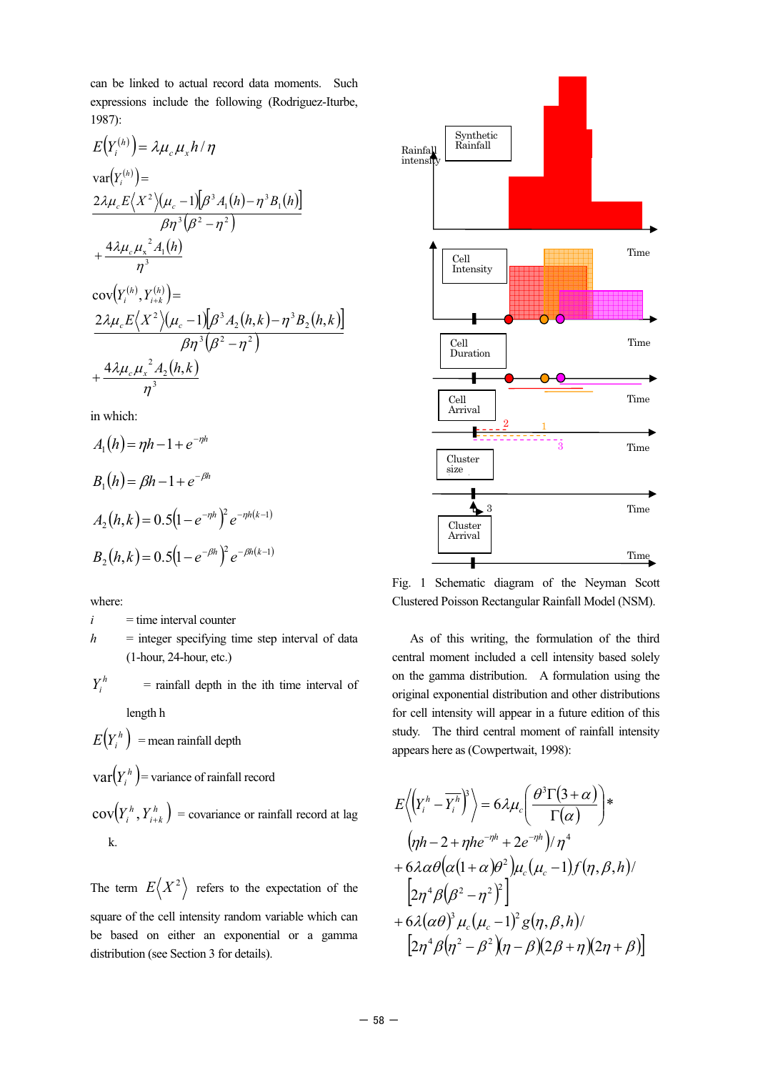can be linked to actual record data moments. Such expressions include the following (Rodriguez-Iturbe, 1987):

$$
E(Y_i^{(h)}) = \lambda \mu_c \mu_x h / \eta
$$
  
\n
$$
var(Y_i^{(h)}) =
$$
  
\n
$$
\frac{2\lambda \mu_c E\langle X^2 \rangle (\mu_c - 1)[\beta^3 A_1(h) - \eta^3 B_1(h)]}{\beta \eta^3 (\beta^2 - \eta^2)}
$$
  
\n
$$
+ \frac{4\lambda \mu_c \mu_x^2 A_1(h)}{\eta^3}
$$
  
\n
$$
cov(Y_i^{(h)}, Y_{i+k}^{(h)}) =
$$
  
\n
$$
\frac{2\lambda \mu_c E\langle X^2 \rangle (\mu_c - 1)[\beta^3 A_2(h, k) - \eta^3 B_2(h, k)]}{\beta \eta^3 (\beta^2 - \eta^2)}
$$
  
\n
$$
+ \frac{4\lambda \mu_c \mu_x^2 A_2(h, k)}{\eta^3}
$$

in which:

$$
A_1(h) = \eta h - 1 + e^{-\eta h}
$$
  
\n
$$
B_1(h) = \beta h - 1 + e^{-\beta h}
$$
  
\n
$$
A_2(h, k) = 0.5(1 - e^{-\eta h})^2 e^{-\eta h(k-1)}
$$
  
\n
$$
B_2(h, k) = 0.5(1 - e^{-\beta h})^2 e^{-\beta h(k-1)}
$$

where:

 $i =$  time interval counter

 $h$  = integer specifying time step interval of data (1-hour, 24-hour, etc.)

 $Y_i^h$  = rainfall depth in the ith time interval of length h

 $E(Y_i^h)$  = mean rainfall depth

 $\text{var}(Y_i^h)$  = variance of rainfall record

 $\text{cov}(Y_i^h, Y_{i+k}^h)$  = covariance or rainfall record at lag k.

The term  $E(X^2)$  refers to the expectation of the square of the cell intensity random variable which can be based on either an exponential or a gamma distribution (see Section 3 for details).



Fig. 1 Schematic diagram of the Neyman Scott Clustered Poisson Rectangular Rainfall Model (NSM).

As of this writing, the formulation of the third central moment included a cell intensity based solely on the gamma distribution. A formulation using the original exponential distribution and other distributions for cell intensity will appear in a future edition of this study. The third central moment of rainfall intensity appears here as (Cowpertwait, 1998):

$$
E\langle (\gamma_i^h - \overline{\gamma_i^h})^3 \rangle = 6\lambda \mu_c \bigg( \frac{\theta^3 \Gamma(3+\alpha)}{\Gamma(\alpha)} \bigg)^*
$$
  
\n
$$
(\eta h - 2 + \eta h e^{-\eta h} + 2e^{-\eta h}) / \eta^4
$$
  
\n
$$
+ 6\lambda \alpha \theta (\alpha (1+\alpha)\theta^2) \mu_c (\mu_c - 1) f(\eta, \beta, h) /
$$
  
\n
$$
[2\eta^4 \beta (\beta^2 - \eta^2)^2]
$$
  
\n
$$
+ 6\lambda (\alpha \theta)^3 \mu_c (\mu_c - 1)^2 g(\eta, \beta, h) /
$$
  
\n
$$
[2\eta^4 \beta (\eta^2 - \beta^2) (\eta - \beta)(2\beta + \eta) (2\eta + \beta)]
$$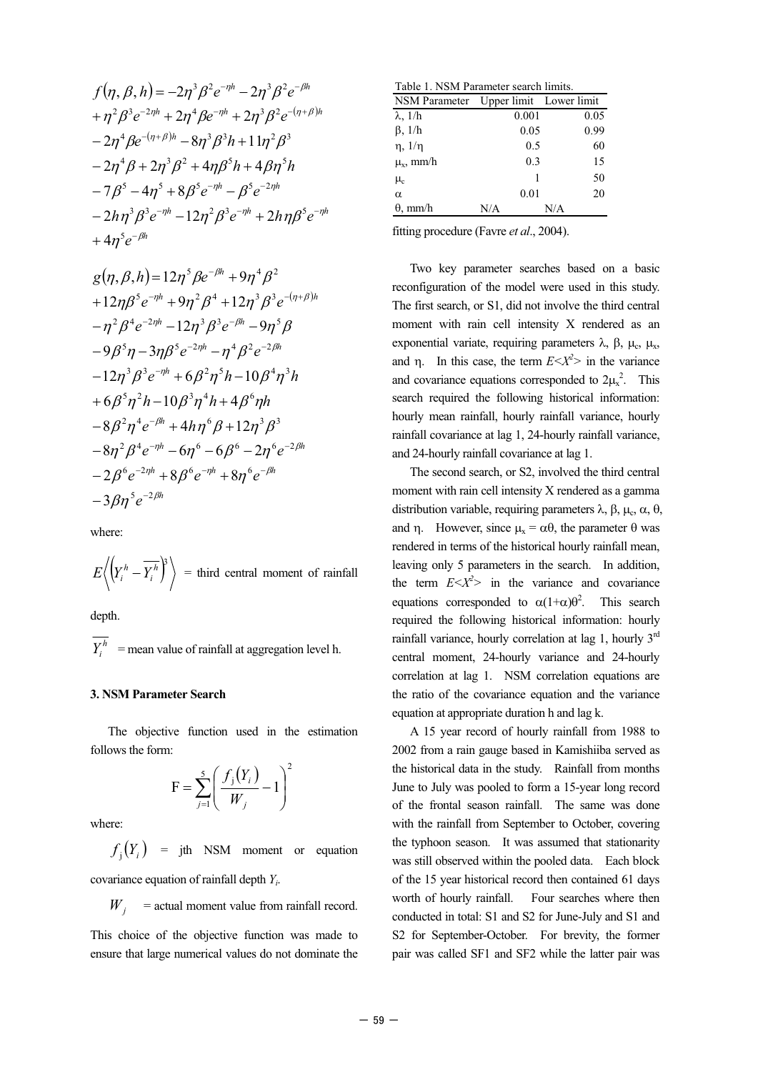$$
f(\eta, \beta, h) = -2\eta^3 \beta^2 e^{-\eta h} - 2\eta^3 \beta^2 e^{-\beta h}
$$
  
+  $\eta^2 \beta^3 e^{-2\eta h} + 2\eta^4 \beta e^{-\eta h} + 2\eta^3 \beta^2 e^{-(\eta + \beta)h}$   
-  $2\eta^4 \beta e^{-(\eta + \beta)h} - 8\eta^3 \beta^3 h + 11\eta^2 \beta^3$   
-  $2\eta^4 \beta + 2\eta^3 \beta^2 + 4\eta \beta^5 h + 4\beta \eta^5 h$   
-  $7\beta^5 - 4\eta^5 + 8\beta^5 e^{-\eta h} - \beta^5 e^{-2\eta h}$   
-  $2h\eta^3 \beta^3 e^{-\eta h} - 12\eta^2 \beta^3 e^{-\eta h} + 2h\eta \beta^5 e^{-\eta h}$   
+  $4\eta^5 e^{-\beta h}$ 

$$
g(\eta, \beta, h) = 12\eta^5 \beta e^{-\beta h} + 9\eta^4 \beta^2
$$
  
+12\eta \beta^5 e^{-\eta h} + 9\eta^2 \beta^4 + 12\eta^3 \beta^3 e^{-(\eta + \beta)h}  
- \eta^2 \beta^4 e^{-2\eta h} - 12\eta^3 \beta^3 e^{-\beta h} - 9\eta^5 \beta  
- 9\beta^5 \eta - 3\eta \beta^5 e^{-2\eta h} - \eta^4 \beta^2 e^{-2\beta h}  
- 12\eta^3 \beta^3 e^{-\eta h} + 6\beta^2 \eta^5 h - 10\beta^4 \eta^3 h  
+ 6\beta^5 \eta^2 h - 10\beta^3 \eta^4 h + 4\beta^6 \eta h  
- 8\beta^2 \eta^4 e^{-\beta h} + 4h\eta^6 \beta + 12\eta^3 \beta^3  
- 8\eta^2 \beta^4 e^{-\eta h} - 6\eta^6 - 6\beta^6 - 2\eta^6 e^{-2\beta h}  
- 2\beta^6 e^{-2\eta h} + 8\beta^6 e^{-\eta h} + 8\eta^6 e^{-\beta h}  
- 3\beta \eta^5 e^{-2\beta h}

where:

$$
E\left\langle \left(Y_i^h - \overline{Y_i^h}\right)^3 \right\rangle = \text{third central moment of rainfall}
$$

depth.

 $\overline{Y_i^h}$  = mean value of rainfall at aggregation level h.

# **3. NSM Parameter Search**

The objective function used in the estimation follows the form:

$$
\mathbf{F} = \sum_{j=1}^{5} \left( \frac{f_j(Y_i)}{W_j} - 1 \right)^2
$$

where:

 $f_i(Y_i)$  = jth NSM moment or equation covariance equation of rainfall depth *Yi*.

 $W_i$  = actual moment value from rainfall record.

This choice of the objective function was made to ensure that large numerical values do not dominate the

| Table 1. NSM Parameter search limits. |       |      |  |  |  |  |
|---------------------------------------|-------|------|--|--|--|--|
| NSM Parameter Upper limit Lower limit |       |      |  |  |  |  |
| $\lambda$ , $1/h$                     | 0.001 | 0.05 |  |  |  |  |
| $\beta$ , $1/h$                       | 0.05  | 0.99 |  |  |  |  |
| $\eta$ , $1/\eta$                     | 0.5   | 60   |  |  |  |  |
| $\mu_{\rm v}$ , mm/h                  | 0.3   | 15   |  |  |  |  |
| $\mu_{\rm c}$                         | 1     | 50   |  |  |  |  |
| $\alpha$                              | 0.01  | 20   |  |  |  |  |
| $\theta$ , mm/h                       | N/A   | N/A  |  |  |  |  |

fitting procedure (Favre *et al*., 2004).

Two key parameter searches based on a basic reconfiguration of the model were used in this study. The first search, or S1, did not involve the third central moment with rain cell intensity X rendered as an exponential variate, requiring parameters  $\lambda$ ,  $\beta$ ,  $\mu_c$ ,  $\mu_x$ , and  $\eta$ . In this case, the term  $E \le X^2$  in the variance and covariance equations corresponded to  $2\mu_x^2$ . This search required the following historical information: hourly mean rainfall, hourly rainfall variance, hourly rainfall covariance at lag 1, 24-hourly rainfall variance, and 24-hourly rainfall covariance at lag 1.

The second search, or S2, involved the third central moment with rain cell intensity X rendered as a gamma distribution variable, requiring parameters  $\lambda$ ,  $\beta$ ,  $\mu_c$ ,  $\alpha$ ,  $\theta$ , and  $\eta$ . However, since  $\mu_x = \alpha \theta$ , the parameter  $\theta$  was rendered in terms of the historical hourly rainfall mean, leaving only 5 parameters in the search. In addition, the term  $E \le X^2$  in the variance and covariance equations corresponded to  $\alpha(1+\alpha)\theta^2$ . This search required the following historical information: hourly rainfall variance, hourly correlation at lag 1, hourly 3<sup>rd</sup> central moment, 24-hourly variance and 24-hourly correlation at lag 1. NSM correlation equations are the ratio of the covariance equation and the variance equation at appropriate duration h and lag k.

A 15 year record of hourly rainfall from 1988 to 2002 from a rain gauge based in Kamishiiba served as the historical data in the study. Rainfall from months June to July was pooled to form a 15-year long record of the frontal season rainfall. The same was done with the rainfall from September to October, covering the typhoon season. It was assumed that stationarity was still observed within the pooled data. Each block of the 15 year historical record then contained 61 days worth of hourly rainfall. Four searches where then conducted in total: S1 and S2 for June-July and S1 and S2 for September-October. For brevity, the former pair was called SF1 and SF2 while the latter pair was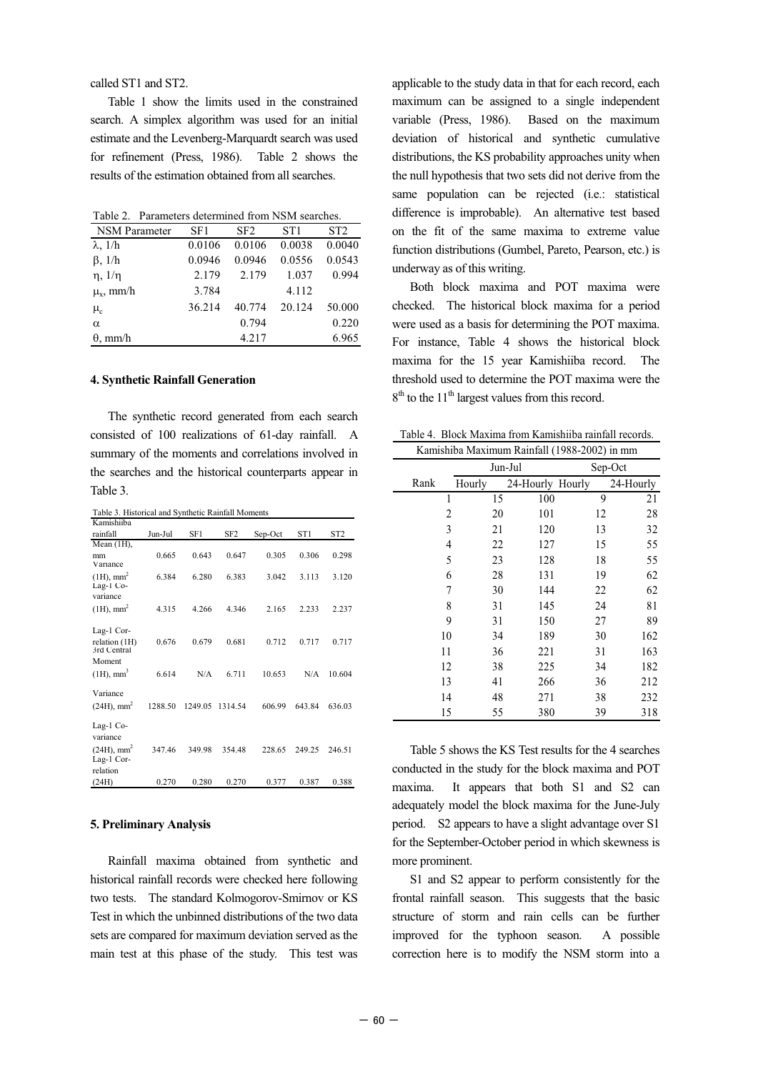called ST1 and ST2.

Table 1 show the limits used in the constrained search. A simplex algorithm was used for an initial estimate and the Levenberg-Marquardt search was used for refinement (Press, 1986). Table 2 shows the results of the estimation obtained from all searches.

Table 2. Parameters determined from NSM searches.

| <b>NSM</b> Parameter | SF1    | SF <sub>2</sub> | ST1    | ST <sub>2</sub> |
|----------------------|--------|-----------------|--------|-----------------|
| $\lambda$ , $1/h$    | 0.0106 | 0.0106          | 0.0038 | 0.0040          |
| $\beta$ , $1/h$      | 0.0946 | 0.0946          | 0.0556 | 0.0543          |
| $\eta$ , $1/\eta$    | 2.179  | 2.179           | 1.037  | 0.994           |
| $\mu_{\rm v}$ , mm/h | 3.784  |                 | 4.112  |                 |
| $\mu_{\rm c}$        | 36.214 | 40.774          | 20.124 | 50.000          |
| α                    |        | 0.794           |        | 0.220           |
| $\theta$ , mm/h      |        | 4.217           |        | 6.965           |

### **4. Synthetic Rainfall Generation**

The synthetic record generated from each search consisted of 100 realizations of 61-day rainfall. A summary of the moments and correlations involved in the searches and the historical counterparts appear in Table 3.

| Table 3. Historical and Synthetic Rainfall Moments   |         |         |                 |         |        |                 |
|------------------------------------------------------|---------|---------|-----------------|---------|--------|-----------------|
| Kamishiiba                                           |         |         |                 |         |        |                 |
| rainfall                                             | Jun-Jul | SF1     | SF <sub>2</sub> | Sep-Oct | ST1    | ST <sub>2</sub> |
| Mean $(1H)$ ,                                        |         |         |                 |         |        |                 |
| mm<br>Variance                                       | 0.665   | 0.643   | 0.647           | 0.305   | 0.306  | 0.298           |
| $(1H)$ , mm <sup>2</sup><br>Lag-1 Co-                | 6.384   | 6.280   | 6.383           | 3.042   | 3.113  | 3.120           |
| variance                                             |         |         |                 |         |        |                 |
| $(1H)$ , mm <sup>2</sup>                             | 4.315   | 4.266   | 4.346           | 2.165   | 2.233  | 2.237           |
| Lag-1 Cor-<br>relation (1H)<br>3rd Central           | 0.676   | 0.679   | 0.681           | 0.712   | 0.717  | 0.717           |
| Moment<br>$(1H)$ , mm <sup>3</sup>                   | 6.614   | N/A     | 6.711           | 10.653  | N/A    | 10.604          |
| Variance<br>$(24H)$ , mm <sup>2</sup>                | 1288.50 | 1249.05 | 1314.54         | 606.99  | 643.84 | 636.03          |
| Lag-1 $Co-$<br>variance<br>$(24H)$ , mm <sup>2</sup> | 347.46  | 349.98  | 354.48          | 228.65  | 249.25 | 246.51          |
| Lag-1 Cor-<br>relation<br>(24H)                      | 0.270   | 0.280   | 0.270           | 0.377   | 0.387  | 0.388           |

#### **5. Preliminary Analysis**

Rainfall maxima obtained from synthetic and historical rainfall records were checked here following two tests. The standard Kolmogorov-Smirnov or KS Test in which the unbinned distributions of the two data sets are compared for maximum deviation served as the main test at this phase of the study. This test was applicable to the study data in that for each record, each maximum can be assigned to a single independent variable (Press, 1986). Based on the maximum deviation of historical and synthetic cumulative distributions, the KS probability approaches unity when the null hypothesis that two sets did not derive from the same population can be rejected (i.e.: statistical difference is improbable). An alternative test based on the fit of the same maxima to extreme value function distributions (Gumbel, Pareto, Pearson, etc.) is underway as of this writing.

Both block maxima and POT maxima were checked. The historical block maxima for a period were used as a basis for determining the POT maxima. For instance, Table 4 shows the historical block maxima for the 15 year Kamishiiba record. The threshold used to determine the POT maxima were the  $8<sup>th</sup>$  to the 11<sup>th</sup> largest values from this record.

Kamishiba Maximum Rainfall (1988-2002) in mm Table 4. Block Maxima from Kamishiiba rainfall records.

| Kaniisinoa Maximum Kannan (1960-2002) in iliili |         |                  |    |           |  |  |  |
|-------------------------------------------------|---------|------------------|----|-----------|--|--|--|
|                                                 | Jun-Jul |                  |    | Sep-Oct   |  |  |  |
| Rank                                            | Hourly  | 24-Hourly Hourly |    | 24-Hourly |  |  |  |
| 1                                               | 15      | 100              | 9  | 21        |  |  |  |
| 2                                               | 20      | 101              | 12 | 28        |  |  |  |
| 3                                               | 21      | 120              | 13 | 32        |  |  |  |
| 4                                               | 22      | 127              | 15 | 55        |  |  |  |
| 5                                               | 23      | 128              | 18 | 55        |  |  |  |
| 6                                               | 28      | 131              | 19 | 62        |  |  |  |
| 7                                               | 30      | 144              | 22 | 62        |  |  |  |
| 8                                               | 31      | 145              | 24 | 81        |  |  |  |
| 9                                               | 31      | 150              | 27 | 89        |  |  |  |
| 10                                              | 34      | 189              | 30 | 162       |  |  |  |
| 11                                              | 36      | 221              | 31 | 163       |  |  |  |
| 12                                              | 38      | 225              | 34 | 182       |  |  |  |
| 13                                              | 41      | 266              | 36 | 212       |  |  |  |
| 14                                              | 48      | 271              | 38 | 232       |  |  |  |
| 15                                              | 55      | 380              | 39 | 318       |  |  |  |

Table 5 shows the KS Test results for the 4 searches conducted in the study for the block maxima and POT maxima. It appears that both S1 and S2 can adequately model the block maxima for the June-July period. S2 appears to have a slight advantage over S1 for the September-October period in which skewness is more prominent.

S1 and S2 appear to perform consistently for the frontal rainfall season. This suggests that the basic structure of storm and rain cells can be further improved for the typhoon season. A possible correction here is to modify the NSM storm into a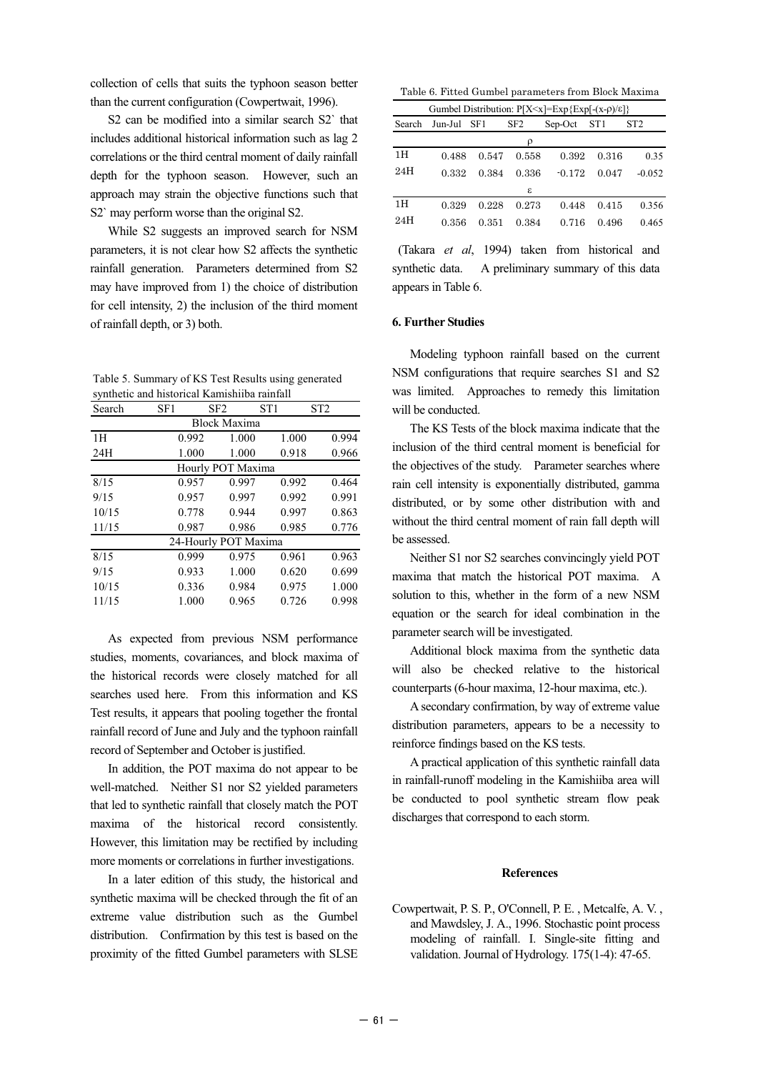collection of cells that suits the typhoon season better than the current configuration (Cowpertwait, 1996).

S2 can be modified into a similar search S2` that includes additional historical information such as lag 2 correlations or the third central moment of daily rainfall depth for the typhoon season. However, such an approach may strain the objective functions such that S2` may perform worse than the original S2.

While S2 suggests an improved search for NSM parameters, it is not clear how S2 affects the synthetic rainfall generation. Parameters determined from S2 may have improved from 1) the choice of distribution for cell intensity, 2) the inclusion of the third moment of rainfall depth, or 3) both.

Table 5. Summary of KS Test Results using generated synthetic and historical Kamishiiba rainfall

| Search               | SF1   | SF <sub>2</sub> | ST1   | ST <sub>2</sub> |       |  |  |  |
|----------------------|-------|-----------------|-------|-----------------|-------|--|--|--|
| <b>Block Maxima</b>  |       |                 |       |                 |       |  |  |  |
| 1H                   | 0.992 |                 | 1.000 | 1.000           | 0.994 |  |  |  |
| 24H                  | 1.000 |                 | 1.000 | 0.918           | 0.966 |  |  |  |
| Hourly POT Maxima    |       |                 |       |                 |       |  |  |  |
| 8/15                 | 0.957 |                 | 0.997 | 0.992           | 0.464 |  |  |  |
| 9/15                 | 0.957 |                 | 0.997 | 0.992           | 0.991 |  |  |  |
| 10/15                | 0.778 |                 | 0.944 | 0.997           | 0.863 |  |  |  |
| 11/15                | 0.987 |                 | 0.986 | 0.985           | 0.776 |  |  |  |
| 24-Hourly POT Maxima |       |                 |       |                 |       |  |  |  |
| 8/15                 | 0.999 |                 | 0.975 | 0.961           | 0.963 |  |  |  |
| 9/15                 | 0.933 |                 | 1.000 | 0.620           | 0.699 |  |  |  |
| 10/15                | 0.336 |                 | 0.984 | 0.975           | 1.000 |  |  |  |
| 11/15                | 1.000 |                 | 0.965 | 0.726           | 0.998 |  |  |  |

As expected from previous NSM performance studies, moments, covariances, and block maxima of the historical records were closely matched for all searches used here. From this information and KS Test results, it appears that pooling together the frontal rainfall record of June and July and the typhoon rainfall record of September and October is justified.

In addition, the POT maxima do not appear to be well-matched. Neither S1 nor S2 yielded parameters that led to synthetic rainfall that closely match the POT maxima of the historical record consistently. However, this limitation may be rectified by including more moments or correlations in further investigations.

In a later edition of this study, the historical and synthetic maxima will be checked through the fit of an extreme value distribution such as the Gumbel distribution. Confirmation by this test is based on the proximity of the fitted Gumbel parameters with SLSE

Table 6. Fitted Gumbel parameters from Block Maxima

| Gumbel Distribution: $P[X\leq x] = Exp\{Exp(-x-\rho)/\varepsilon\}$ |             |       |                 |             |       |                 |  |  |
|---------------------------------------------------------------------|-------------|-------|-----------------|-------------|-------|-----------------|--|--|
| Search                                                              | Jun-Jul SF1 |       | SF <sub>2</sub> | Sep-Oct ST1 |       | ST <sub>2</sub> |  |  |
| ρ                                                                   |             |       |                 |             |       |                 |  |  |
| 1H                                                                  | 0.488       | 0.547 | 0.558           | 0.392       | 0.316 | 0.35            |  |  |
| 24H                                                                 | 0.332       | 0.384 | 0.336           | $-0.172$    | 0.047 | $-0.052$        |  |  |
|                                                                     |             |       | ε               |             |       |                 |  |  |
| 1H                                                                  | 0.329       | 0.228 | 0.273           | 0.448       | 0.415 | 0.356           |  |  |
| 24H                                                                 | 0.356       | 0.351 | 0.384           | 0.716       | 0.496 | 0.465           |  |  |

 (Takara *et al*, 1994) taken from historical and synthetic data. A preliminary summary of this data appears in Table 6.

### **6. Further Studies**

Modeling typhoon rainfall based on the current NSM configurations that require searches S1 and S2 was limited. Approaches to remedy this limitation will be conducted.

The KS Tests of the block maxima indicate that the inclusion of the third central moment is beneficial for the objectives of the study. Parameter searches where rain cell intensity is exponentially distributed, gamma distributed, or by some other distribution with and without the third central moment of rain fall depth will be assessed.

Neither S1 nor S2 searches convincingly yield POT maxima that match the historical POT maxima. A solution to this, whether in the form of a new NSM equation or the search for ideal combination in the parameter search will be investigated.

Additional block maxima from the synthetic data will also be checked relative to the historical counterparts (6-hour maxima, 12-hour maxima, etc.).

A secondary confirmation, by way of extreme value distribution parameters, appears to be a necessity to reinforce findings based on the KS tests.

A practical application of this synthetic rainfall data in rainfall-runoff modeling in the Kamishiiba area will be conducted to pool synthetic stream flow peak discharges that correspond to each storm.

## **References**

Cowpertwait, P. S. P., O'Connell, P. E. , Metcalfe, A. V. , and Mawdsley, J. A., 1996. Stochastic point process modeling of rainfall. I. Single-site fitting and validation. Journal of Hydrology. 175(1-4): 47-65.